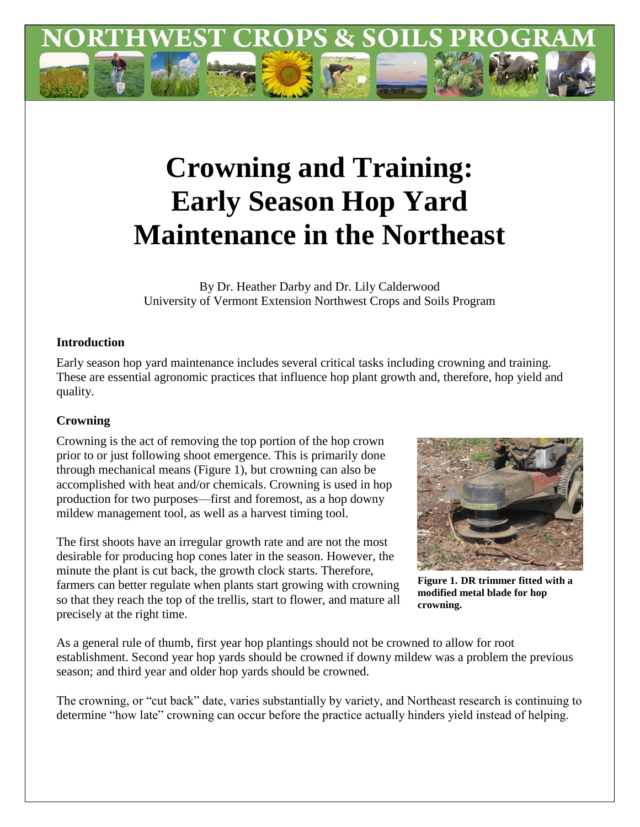

# **Crowning and Training: Early Season Hop Yard Maintenance in the Northeast**

By Dr. Heather Darby and Dr. Lily Calderwood University of Vermont Extension Northwest Crops and Soils Program

## **Introduction**

Early season hop yard maintenance includes several critical tasks including crowning and training. These are essential agronomic practices that influence hop plant growth and, therefore, hop yield and quality.

# **Crowning**

Crowning is the act of removing the top portion of the hop crown prior to or just following shoot emergence. This is primarily done through mechanical means (Figure 1), but crowning can also be accomplished with heat and/or chemicals. Crowning is used in hop production for two purposes—first and foremost, as a hop downy mildew management tool, as well as a harvest timing tool.

The first shoots have an irregular growth rate and are not the most desirable for producing hop cones later in the season. However, the minute the plant is cut back, the growth clock starts. Therefore, farmers can better regulate when plants start growing with crowning so that they reach the top of the trellis, start to flower, and mature all precisely at the right time.



**Figure 1. DR trimmer fitted with a modified metal blade for hop crowning.**

As a general rule of thumb, first year hop plantings should not be crowned to allow for root establishment. Second year hop yards should be crowned if downy mildew was a problem the previous season; and third year and older hop yards should be crowned.

The crowning, or "cut back" date, varies substantially by variety, and Northeast research is continuing to determine "how late" crowning can occur before the practice actually hinders yield instead of helping.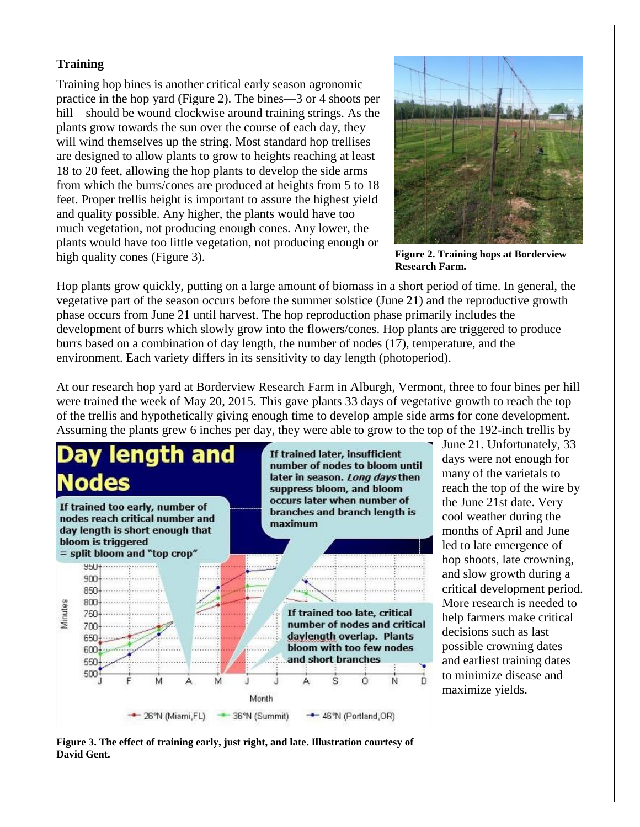#### **Training**

Training hop bines is another critical early season agronomic practice in the hop yard (Figure 2). The bines—3 or 4 shoots per hill—should be wound clockwise around training strings. As the plants grow towards the sun over the course of each day, they will wind themselves up the string. Most standard hop trellises are designed to allow plants to grow to heights reaching at least 18 to 20 feet, allowing the hop plants to develop the side arms from which the burrs/cones are produced at heights from 5 to 18 feet. Proper trellis height is important to assure the highest yield and quality possible. Any higher, the plants would have too much vegetation, not producing enough cones. Any lower, the plants would have too little vegetation, not producing enough or high quality cones (Figure 3).



**Figure 2. Training hops at Borderview Research Farm.**

Hop plants grow quickly, putting on a large amount of biomass in a short period of time. In general, the vegetative part of the season occurs before the summer solstice (June 21) and the reproductive growth phase occurs from June 21 until harvest. The hop reproduction phase primarily includes the development of burrs which slowly grow into the flowers/cones. Hop plants are triggered to produce burrs based on a combination of day length, the number of nodes (17), temperature, and the environment. Each variety differs in its sensitivity to day length (photoperiod).

At our research hop yard at Borderview Research Farm in Alburgh, Vermont, three to four bines per hill were trained the week of May 20, 2015. This gave plants 33 days of vegetative growth to reach the top of the trellis and hypothetically giving enough time to develop ample side arms for cone development. Assuming the plants grew 6 inches per day, they were able to grow to the top of the 192-inch trellis by



June 21. Unfortunately, 33 days were not enough for many of the varietals to reach the top of the wire by the June 21st date. Very cool weather during the months of April and June led to late emergence of hop shoots, late crowning, and slow growth during a critical development period. More research is needed to help farmers make critical decisions such as last possible crowning dates and earliest training dates to minimize disease and maximize yields.

**Figure 3. The effect of training early, just right, and late. Illustration courtesy of David Gent.**